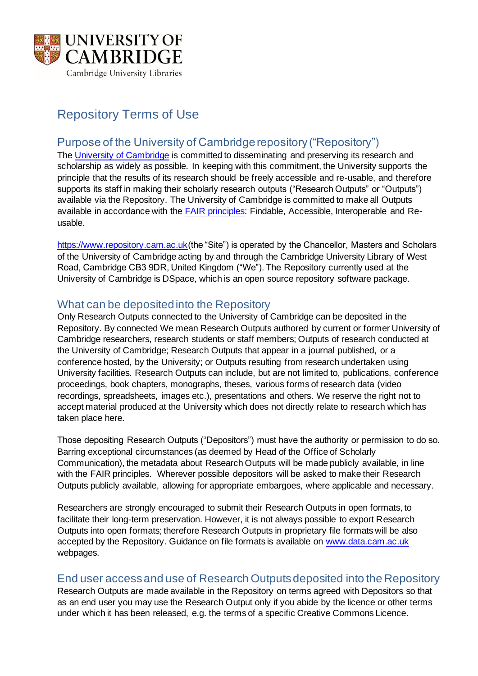

# Repository Terms of Use

# Purpose of the University of Cambridge repository ("Repository")

The University of Cambridge is committed to disseminating and preserving its research and scholarship as widely as possible. In keeping with this commitment, the University supports the principle that the results of its research should be freely accessible and re-usable, and therefore supports its staff in making their scholarly research outputs ("Research Outputs" or "Outputs") available via the Repository. The University of Cambridge is committed to make all Outputs available in accordance with the FAIR principles: Findable, Accessible, Interoperable and Reusable.

https://www.repository.cam.ac.uk(the "Site") is operated by the Chancellor, Masters and Scholars of the University of Cambridge acting by and through the Cambridge University Library of West Road, Cambridge CB3 9DR, United Kingdom ("We"). The Repository currently used at the University of Cambridge is DSpace, which is an open source repository software package.

## What can be deposited into the Repository

Only Research Outputs connected to the University of Cambridge can be deposited in the Repository. By connected We mean Research Outputs authored by current or former University of Cambridge researchers, research students or staff members; Outputs of research conducted at the University of Cambridge; Research Outputs that appear in a journal published, or a conference hosted, by the University; or Outputs resulting from research undertaken using University facilities. Research Outputs can include, but are not limited to, publications, conference proceedings, book chapters, monographs, theses, various forms of research data (video recordings, spreadsheets, images etc.), presentations and others. We reserve the right not to accept material produced at the University which does not directly relate to research which has taken place here.

Those depositing Research Outputs ("Depositors") must have the authority or permission to do so. Barring exceptional circumstances (as deemed by Head of the Office of Scholarly Communication), the metadata about Research Outputs will be made publicly available, in line with the FAIR principles. Wherever possible depositors will be asked to make their Research Outputs publicly available, allowing for appropriate embargoes, where applicable and necessary.

Researchers are strongly encouraged to submit their Research Outputs in open formats, to facilitate their long-term preservation. However, it is not always possible to export Research Outputs into open formats; therefore Research Outputs in proprietary file formats will be also accepted by the Repository. Guidance on file formats is available on www.data.cam.ac.uk webpages.

#### End user access and use of Research Outputs deposited into the Repository

Research Outputs are made available in the Repository on terms agreed with Depositors so that as an end user you may use the Research Output only if you abide by the licence or other terms under which it has been released, e.g. the terms of a specific Creative Commons Licence.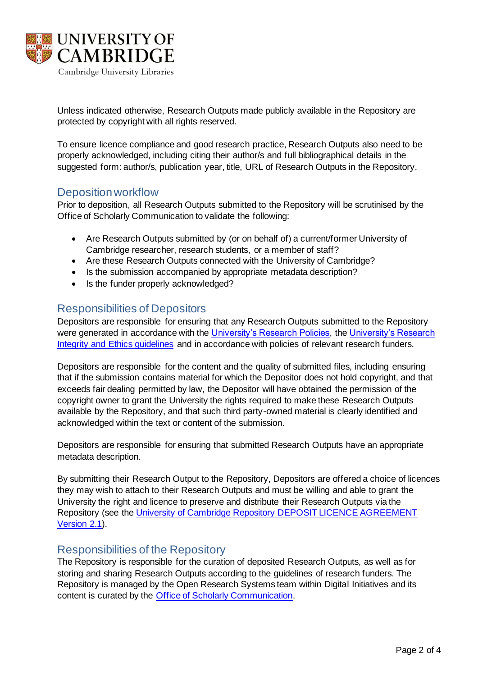

Unless indicated otherwise, Research Outputs made publicly available in the Repository are protected by copyright with all rights reserved.

To ensure licence compliance and good research practice, Research Outputs also need to be properly acknowledged, including citing their author/s and full bibliographical details in the suggested form: author/s, publication year, title, URL of Research Outputs in the Repository.

#### Deposition workflow

Prior to deposition, all Research Outputs submitted to the Repository will be scrutinised by the Office of Scholarly Communication to validate the following:

- Are Research Outputs submitted by (or on behalf of) a current/former University of Cambridge researcher, research students, or a member of staff?
- Are these Research Outputs connected with the University of Cambridge?
- Is the submission accompanied by appropriate metadata description?
- Is the funder properly acknowledged?

#### Responsibilities of Depositors

Depositors are responsible for ensuring that any Research Outputs submitted to the Repository were generated in accordance with the University's Research Policies, the University's Research Integrity and Ethics guidelines and in accordance with policies of relevant research funders.

Depositors are responsible for the content and the quality of submitted files, including ensuring that if the submission contains material for which the Depositor does not hold copyright, and that exceeds fair dealing permitted by law, the Depositor will have obtained the permission of the copyright owner to grant the University the rights required to make these Research Outputs available by the Repository, and that such third party-owned material is clearly identified and acknowledged within the text or content of the submission.

Depositors are responsible for ensuring that submitted Research Outputs have an appropriate metadata description.

By submitting their Research Output to the Repository, Depositors are offered a choice of licences they may wish to attach to their Research Outputs and must be willing and able to grant the University the right and licence to preserve and distribute their Research Outputs via the Repository (see the University of Cambridge Repository DEPOSIT LICENCE AGREEMENT Version 2.1).

#### Responsibilities of the Repository

The Repository is responsible for the curation of deposited Research Outputs, as well as for storing and sharing Research Outputs according to the guidelines of research funders. The Repository is managed by the Open Research Systems team within Digital Initiatives and its content is curated by the Office of Scholarly Communication.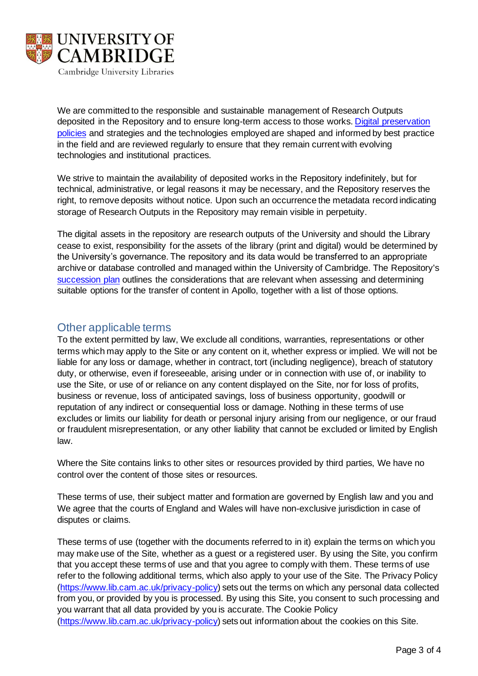

We are committed to the responsible and sustainable management of Research Outputs deposited in the Repository and to ensure long-term access to those works. Digital preservation policies and strategies and the technologies employed are shaped and informed by best practice in the field and are reviewed regularly to ensure that they remain current with evolving technologies and institutional practices.

We strive to maintain the availability of deposited works in the Repository indefinitely, but for technical, administrative, or legal reasons it may be necessary, and the Repository reserves the right, to remove deposits without notice. Upon such an occurrence the metadata record indicating storage of Research Outputs in the Repository may remain visible in perpetuity.

The digital assets in the repository are research outputs of the University and should the Library cease to exist, responsibility for the assets of the library (print and digital) would be determined by the University's governance. The repository and its data would be transferred to an appropriate archive or database controlled and managed within the University of Cambridge. The Repository's succession plan outlines the considerations that are relevant when assessing and determining suitable options for the transfer of content in Apollo, together with a list of those options.

## Other applicable terms

To the extent permitted by law, We exclude all conditions, warranties, representations or other terms which may apply to the Site or any content on it, whether express or implied. We will not be liable for any loss or damage, whether in contract, tort (including negligence), breach of statutory duty, or otherwise, even if foreseeable, arising under or in connection with use of, or inability to use the Site, or use of or reliance on any content displayed on the Site, nor for loss of profits, business or revenue, loss of anticipated savings, loss of business opportunity, goodwill or reputation of any indirect or consequential loss or damage. Nothing in these terms of use excludes or limits our liability for death or personal injury arising from our negligence, or our fraud or fraudulent misrepresentation, or any other liability that cannot be excluded or limited by English law.

Where the Site contains links to other sites or resources provided by third parties, We have no control over the content of those sites or resources.

These terms of use, their subject matter and formation are governed by English law and you and We agree that the courts of England and Wales will have non-exclusive jurisdiction in case of disputes or claims.

These terms of use (together with the documents referred to in it) explain the terms on which you may make use of the Site, whether as a guest or a registered user. By using the Site, you confirm that you accept these terms of use and that you agree to comply with them. These terms of use refer to the following additional terms, which also apply to your use of the Site. The Privacy Policy (https://www.lib.cam.ac.uk/privacy-policy) sets out the terms on which any personal data collected from you, or provided by you is processed. By using this Site, you consent to such processing and you warrant that all data provided by you is accurate. The Cookie Policy (https://www.lib.cam.ac.uk/privacy-policy) sets out information about the cookies on this Site.